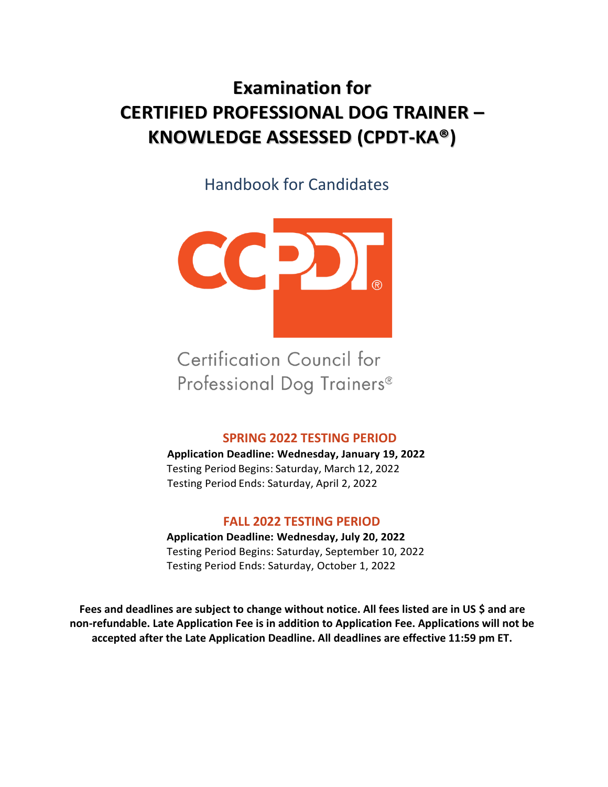# **Examination for CERTIFIED PROFESSIONAL DOG TRAINER – KNOWLEDGE ASSESSED (CPDT-KA®)**

Handbook for Candidates



**Certification Council for** Professional Dog Trainers®

### **SPRING 2022 TESTING PERIOD**

**Application Deadline: Wednesday, January 19, 2022** Testing Period Begins: Saturday, March 12, 2022 Testing Period Ends: Saturday, April 2, 2022

### **FALL 2022 TESTING PERIOD**

**Application Deadline: Wednesday, July 20, 2022** Testing Period Begins: Saturday, September 10, 2022 Testing Period Ends: Saturday, October 1, 2022

**Fees and deadlines are subject to change without notice. All fees listed are in US \$ and are non-refundable. Late Application Fee is in addition to Application Fee. Applications will not be accepted after the Late Application Deadline. All deadlines are effective 11:59 pm ET.**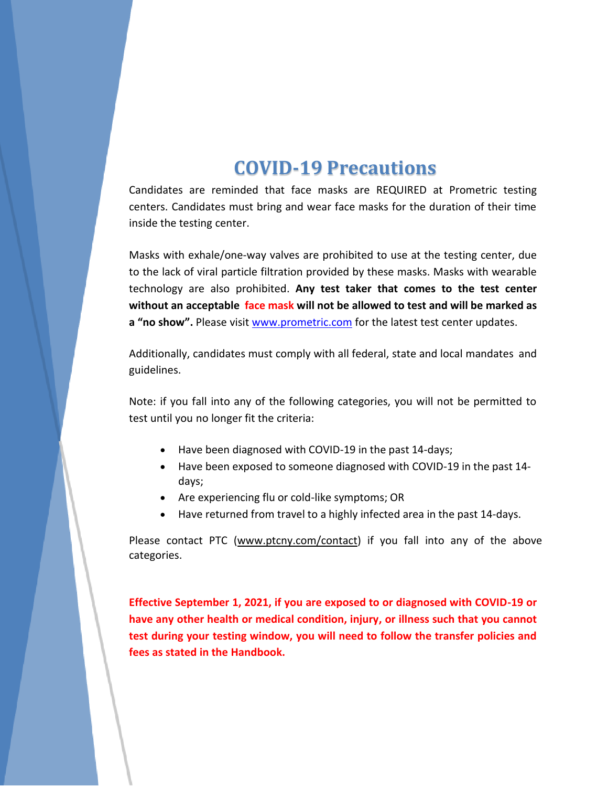# **COVID-19 Precautions**

Candidates are reminded that face masks are REQUIRED at Prometric testing centers. Candidates must bring and wear face masks for the duration of their time inside the testing center.

Masks with exhale/one-way valves are prohibited to use at the testing center, due to the lack of viral particle filtration provided by these masks. Masks with wearable technology are also prohibited. **Any test taker that comes to the test center without an acceptable face mask will not be allowed to test and will be marked as a "no show".** Please visi[t www.prometric.com](file://///ptcnysvr1/Program_Management/CCPDT/Handbooks/www.prometric.com) for the latest test center updates.

Additionally, candidates must comply with all federal, state and local mandates and guidelines.

Note: if you fall into any of the following categories, you will not be permitted to test until you no longer fit the criteria:

- Have been diagnosed with COVID-19 in the past 14-days;
- Have been exposed to someone diagnosed with COVID-19 in the past 14 days;
- Are experiencing flu or cold-like symptoms; OR
- Have returned from travel to a highly infected area in the past 14-days.

Please contact PTC [\(www.ptcny.com/contact\)](http://www.ptcny.com/contact) if you fall into any of the above categories.

**Effective September 1, 2021, if you are exposed to or diagnosed with COVID-19 or have any other health or medical condition, injury, or illness such that you cannot test during your testing window, you will need to follow the transfer policies and fees as stated in the Handbook.**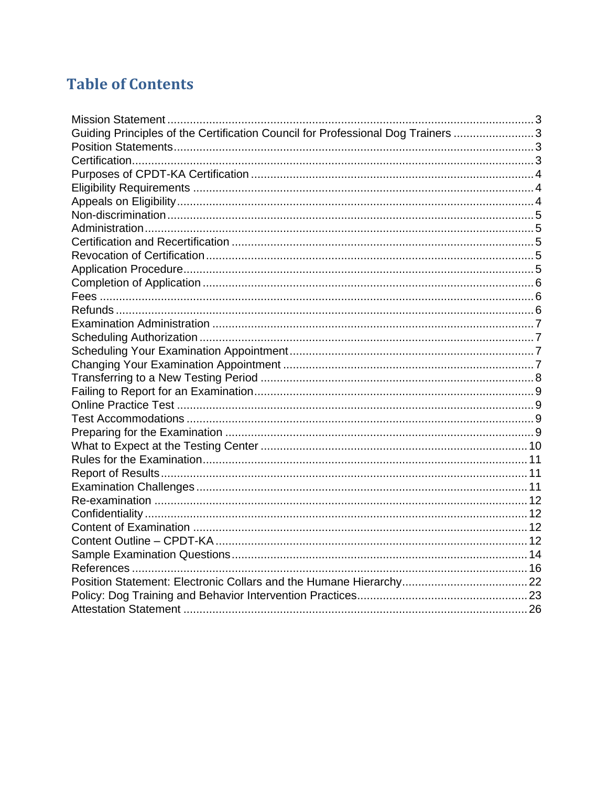# **Table of Contents**

| Guiding Principles of the Certification Council for Professional Dog Trainers 3 |  |
|---------------------------------------------------------------------------------|--|
|                                                                                 |  |
|                                                                                 |  |
|                                                                                 |  |
|                                                                                 |  |
|                                                                                 |  |
|                                                                                 |  |
|                                                                                 |  |
|                                                                                 |  |
|                                                                                 |  |
|                                                                                 |  |
|                                                                                 |  |
|                                                                                 |  |
|                                                                                 |  |
|                                                                                 |  |
|                                                                                 |  |
|                                                                                 |  |
|                                                                                 |  |
|                                                                                 |  |
|                                                                                 |  |
|                                                                                 |  |
|                                                                                 |  |
|                                                                                 |  |
|                                                                                 |  |
|                                                                                 |  |
|                                                                                 |  |
|                                                                                 |  |
|                                                                                 |  |
|                                                                                 |  |
|                                                                                 |  |
|                                                                                 |  |
|                                                                                 |  |
|                                                                                 |  |
|                                                                                 |  |
|                                                                                 |  |
|                                                                                 |  |
|                                                                                 |  |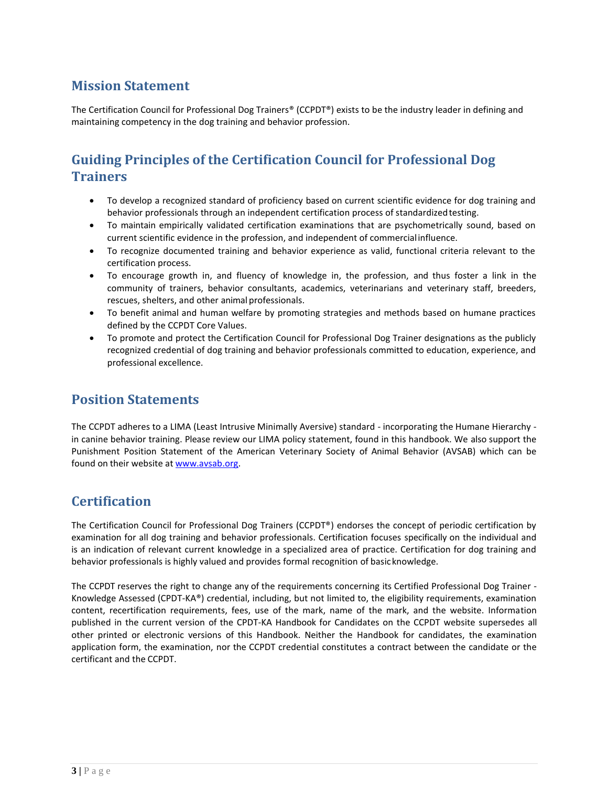# <span id="page-3-0"></span>**Mission Statement**

The Certification Council for Professional Dog Trainers® (CCPDT®) exists to be the industry leader in defining and maintaining competency in the dog training and behavior profession.

# <span id="page-3-1"></span>**Guiding Principles of the Certification Council for Professional Dog Trainers**

- To develop a recognized standard of proficiency based on current scientific evidence for dog training and behavior professionals through an independent certification process of standardizedtesting.
- To maintain empirically validated certification examinations that are psychometrically sound, based on current scientific evidence in the profession, and independent of commercialinfluence.
- To recognize documented training and behavior experience as valid, functional criteria relevant to the certification process.
- To encourage growth in, and fluency of knowledge in, the profession, and thus foster a link in the community of trainers, behavior consultants, academics, veterinarians and veterinary staff, breeders, rescues, shelters, and other animal professionals.
- To benefit animal and human welfare by promoting strategies and methods based on humane practices defined by the CCPDT Core Values.
- To promote and protect the Certification Council for Professional Dog Trainer designations as the publicly recognized credential of dog training and behavior professionals committed to education, experience, and professional excellence.

### <span id="page-3-2"></span>**Position Statements**

The CCPDT adheres to a LIMA (Least Intrusive Minimally Aversive) standard - incorporating the Humane Hierarchy in canine behavior training. Please review our LIMA policy statement, found in this handbook. We also support the Punishment Position Statement of the American Veterinary Society of Animal Behavior (AVSAB) which can be found on their website at [www.avsab.org.](http://www.avsab.org/)

### <span id="page-3-3"></span>**Certification**

The Certification Council for Professional Dog Trainers (CCPDT®) endorses the concept of periodic certification by examination for all dog training and behavior professionals. Certification focuses specifically on the individual and is an indication of relevant current knowledge in a specialized area of practice. Certification for dog training and behavior professionals is highly valued and provides formal recognition of basicknowledge.

The CCPDT reserves the right to change any of the requirements concerning its Certified Professional Dog Trainer - Knowledge Assessed (CPDT-KA®) credential, including, but not limited to, the eligibility requirements, examination content, recertification requirements, fees, use of the mark, name of the mark, and the website. Information published in the current version of the CPDT-KA Handbook for Candidates on the CCPDT website supersedes all other printed or electronic versions of this Handbook. Neither the Handbook for candidates, the examination application form, the examination, nor the CCPDT credential constitutes a contract between the candidate or the certificant and the CCPDT.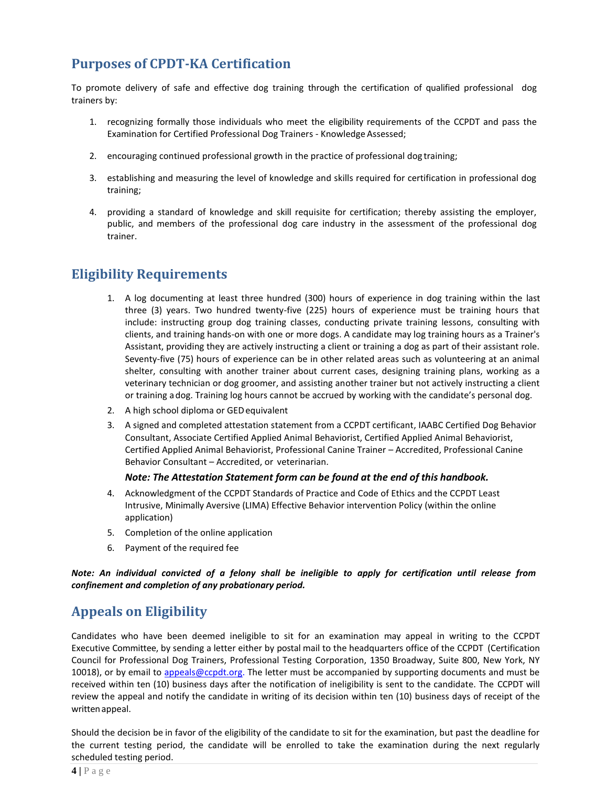# <span id="page-4-0"></span>**Purposes of CPDT-KA Certification**

To promote delivery of safe and effective dog training through the certification of qualified professional dog trainers by:

- 1. recognizing formally those individuals who meet the eligibility requirements of the CCPDT and pass the Examination for Certified Professional Dog Trainers - Knowledge Assessed;
- 2. encouraging continued professional growth in the practice of professional dog training;
- 3. establishing and measuring the level of knowledge and skills required for certification in professional dog training;
- 4. providing a standard of knowledge and skill requisite for certification; thereby assisting the employer, public, and members of the professional dog care industry in the assessment of the professional dog trainer.

### <span id="page-4-1"></span>**Eligibility Requirements**

- 1. A log documenting at least three hundred (300) hours of experience in dog training within the last three (3) years. Two hundred twenty-five (225) hours of experience must be training hours that include: instructing group dog training classes, conducting private training lessons, consulting with clients, and training hands-on with one or more dogs. A candidate may log training hours as a Trainer's Assistant, providing they are actively instructing a client or training a dog as part of their assistant role. Seventy-five (75) hours of experience can be in other related areas such as volunteering at an animal shelter, consulting with another trainer about current cases, designing training plans, working as a veterinary technician or dog groomer, and assisting another trainer but not actively instructing a client or training adog. Training log hours cannot be accrued by working with the candidate's personal dog.
- 2. A high school diploma or GEDequivalent
- 3. A signed and completed attestation statement from a CCPDT certificant, IAABC Certified Dog Behavior Consultant, Associate Certified Applied Animal Behaviorist, Certified Applied Animal Behaviorist, Certified Applied Animal Behaviorist, Professional Canine Trainer – Accredited, Professional Canine Behavior Consultant – Accredited, or veterinarian.

#### *Note: The Attestation Statement form can be found at the end of this handbook.*

- 4. Acknowledgment of the CCPDT Standards of Practice and Code of Ethics and the CCPDT Least Intrusive, Minimally Aversive (LIMA) Effective Behavior intervention Policy (within the online application)
- 5. Completion of the online application
- 6. Payment of the required fee

*Note: An individual convicted of a felony shall be ineligible to apply for certification until release from confinement and completion of any probationary period.*

# <span id="page-4-2"></span>**Appeals on Eligibility**

Candidates who have been deemed ineligible to sit for an examination may appeal in writing to the CCPDT Executive Committee, by sending a letter either by postal mail to the headquarters office of the CCPDT (Certification Council for Professional Dog Trainers, Professional Testing Corporation, 1350 Broadway, Suite 800, New York, NY 10018), or by email to [appeals@ccpdt.org.](mailto:appeals@ccpdt.org) The letter must be accompanied by supporting documents and must be received within ten (10) business days after the notification of ineligibility is sent to the candidate. The CCPDT will review the appeal and notify the candidate in writing of its decision within ten (10) business days of receipt of the writtenappeal.

Should the decision be in favor of the eligibility of the candidate to sit for the examination, but past the deadline for the current testing period, the candidate will be enrolled to take the examination during the next regularly scheduled testing period.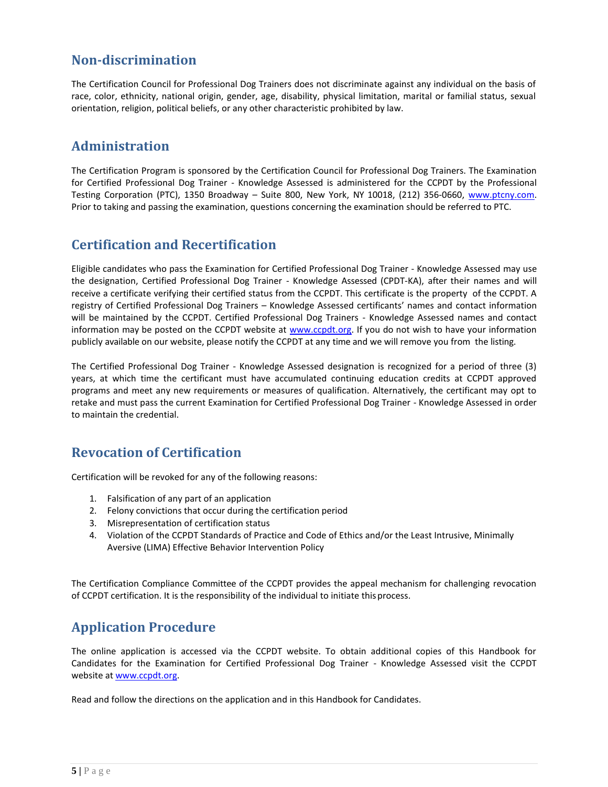### <span id="page-5-0"></span>**Non-discrimination**

The Certification Council for Professional Dog Trainers does not discriminate against any individual on the basis of race, color, ethnicity, national origin, gender, age, disability, physical limitation, marital or familial status, sexual orientation, religion, political beliefs, or any other characteristic prohibited by law.

### <span id="page-5-1"></span>**Administration**

The Certification Program is sponsored by the Certification Council for Professional Dog Trainers. The Examination for Certified Professional Dog Trainer - Knowledge Assessed is administered for the CCPDT by the Professional Testing Corporation (PTC), 1350 Broadway - Suite 800, New York, NY 10018, (212) 356-0660, www.ptcny.com. Prior to taking and passing the examination, questions concerning the examination should be referred to PTC.

### <span id="page-5-2"></span>**Certification and Recertification**

Eligible candidates who pass the Examination for Certified Professional Dog Trainer - Knowledge Assessed may use the designation, Certified Professional Dog Trainer - Knowledge Assessed (CPDT-KA), after their names and will receive a certificate verifying their certified status from the CCPDT. This certificate is the property of the CCPDT. A registry of Certified Professional Dog Trainers – Knowledge Assessed certificants' names and contact information will be maintained by the CCPDT. Certified Professional Dog Trainers - Knowledge Assessed names and contact information may be posted on the CCPDT website at [www.ccpdt.org.](http://www.ccpdt.org/) If you do not wish to have your information publicly available on our website, please notify the CCPDT at any time and we will remove you from the listing.

The Certified Professional Dog Trainer - Knowledge Assessed designation is recognized for a period of three (3) years, at which time the certificant must have accumulated continuing education credits at CCPDT approved programs and meet any new requirements or measures of qualification. Alternatively, the certificant may opt to retake and must pass the current Examination for Certified Professional Dog Trainer - Knowledge Assessed in order to maintain the credential.

### <span id="page-5-3"></span>**Revocation of Certification**

Certification will be revoked for any of the following reasons:

- 1. Falsification of any part of an application
- 2. Felony convictions that occur during the certification period
- 3. Misrepresentation of certification status
- 4. Violation of the CCPDT Standards of Practice and Code of Ethics and/or the Least Intrusive, Minimally Aversive (LIMA) Effective Behavior Intervention Policy

The Certification Compliance Committee of the CCPDT provides the appeal mechanism for challenging revocation of CCPDT certification. It is the responsibility of the individual to initiate thisprocess.

# <span id="page-5-4"></span>**Application Procedure**

The online application is accessed via the CCPDT website. To obtain additional copies of this Handbook for Candidates for the Examination for Certified Professional Dog Trainer - Knowledge Assessed visit the CCPDT website at [www.ccpdt.org.](http://www.ccpdt.org/)

Read and follow the directions on the application and in this Handbook for Candidates.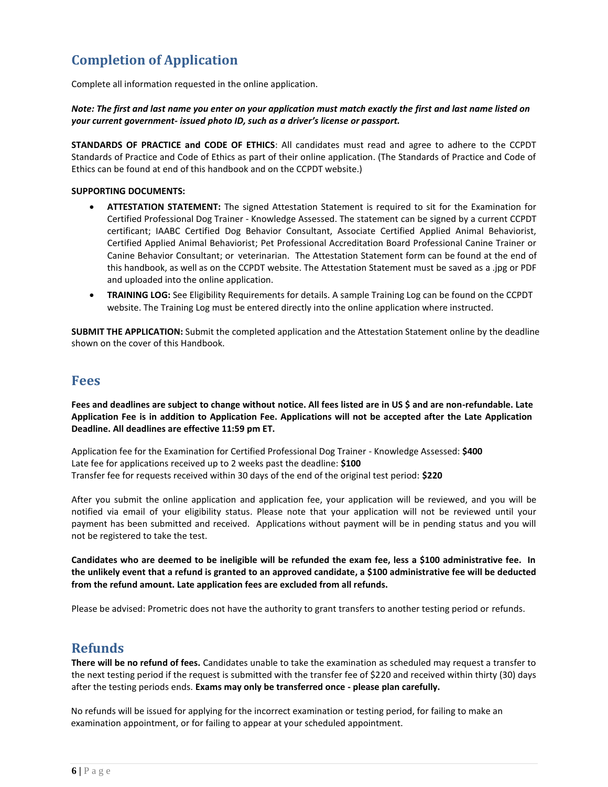# <span id="page-6-0"></span>**Completion of Application**

Complete all information requested in the online application.

*Note: The first and last name you enter on your application must match exactly the first and last name listed on your current government- issued photo ID, such as a driver's license or passport.*

**STANDARDS OF PRACTICE and CODE OF ETHICS**: All candidates must read and agree to adhere to the CCPDT Standards of Practice and Code of Ethics as part of their online application. (The Standards of Practice and Code of Ethics can be found at end of this handbook and on the CCPDT website.)

#### **SUPPORTING DOCUMENTS:**

- **ATTESTATION STATEMENT:** The signed Attestation Statement is required to sit for the Examination for Certified Professional Dog Trainer - Knowledge Assessed. The statement can be signed by a current CCPDT certificant; IAABC Certified Dog Behavior Consultant, Associate Certified Applied Animal Behaviorist, Certified Applied Animal Behaviorist; Pet Professional Accreditation Board Professional Canine Trainer or Canine Behavior Consultant; or veterinarian. The Attestation Statement form can be found at the end of this handbook, as well as on the CCPDT website. The Attestation Statement must be saved as a .jpg or PDF and uploaded into the online application.
- **TRAINING LOG:** See Eligibility Requirements for details. A sample Training Log can be found on the CCPDT website. The Training Log must be entered directly into the online application where instructed.

**SUBMIT THE APPLICATION:** Submit the completed application and the Attestation Statement online by the deadline shown on the cover of this Handbook.

#### <span id="page-6-1"></span>**Fees**

**Fees and deadlines are subject to change without notice. All fees listed are in US \$ and are non-refundable. Late Application Fee is in addition to Application Fee. Applications will not be accepted after the Late Application Deadline. All deadlines are effective 11:59 pm ET.**

Application fee for the Examination for Certified Professional Dog Trainer - Knowledge Assessed: **\$400** Late fee for applications received up to 2 weeks past the deadline: **\$100** Transfer fee for requests received within 30 days of the end of the original test period: **\$220**

After you submit the online application and application fee, your application will be reviewed, and you will be notified via email of your eligibility status. Please note that your application will not be reviewed until your payment has been submitted and received. Applications without payment will be in pending status and you will not be registered to take the test.

**Candidates who are deemed to be ineligible will be refunded the exam fee, less a \$100 administrative fee. In the unlikely event that a refund is granted to an approved candidate, a \$100 administrative fee will be deducted from the refund amount. Late application fees are excluded from all refunds.**

Please be advised: Prometric does not have the authority to grant transfers to another testing period or refunds.

### <span id="page-6-2"></span>**Refunds**

**There will be no refund of fees.** Candidates unable to take the examination as scheduled may request a transfer to the next testing period if the request is submitted with the transfer fee of \$220 and received within thirty (30) days after the testing periods ends. **Exams may only be transferred once - please plan carefully.**

No refunds will be issued for applying for the incorrect examination or testing period, for failing to make an examination appointment, or for failing to appear at your scheduled appointment.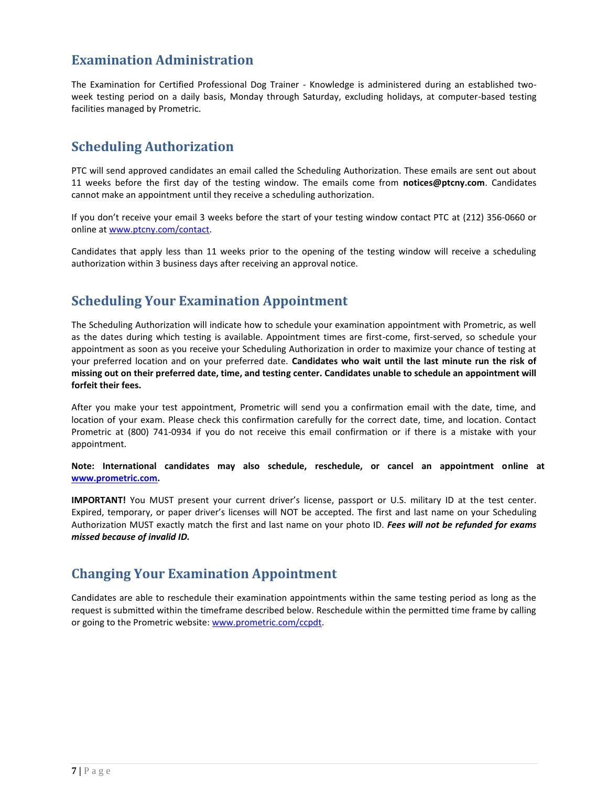### <span id="page-7-0"></span>**Examination Administration**

The Examination for Certified Professional Dog Trainer - Knowledge is administered during an established twoweek testing period on a daily basis, Monday through Saturday, excluding holidays, at computer-based testing facilities managed by Prometric.

# <span id="page-7-1"></span>**Scheduling Authorization**

PTC will send approved candidates an email called the Scheduling Authorization. These emails are sent out about 11 weeks before the first day of the testing window. The emails come from **notices@ptcny.com**. Candidates cannot make an appointment until they receive a scheduling authorization.

If you don't receive your email 3 weeks before the start of your testing window contact PTC at (212) 356-0660 or online at [www.ptcny.com/contact.](file:///C:/Users/cheege/AppData/Local/Microsoft/Windows/INetCache/Content.Outlook/45IB62E8/www.ptcny.com/contact)

Candidates that apply less than 11 weeks prior to the opening of the testing window will receive a scheduling authorization within 3 business days after receiving an approval notice.

### <span id="page-7-2"></span>**Scheduling Your Examination Appointment**

The Scheduling Authorization will indicate how to schedule your examination appointment with Prometric, as well as the dates during which testing is available. Appointment times are first-come, first-served, so schedule your appointment as soon as you receive your Scheduling Authorization in order to maximize your chance of testing at your preferred location and on your preferred date. **Candidates who wait until the last minute run the risk of missing out on their preferred date, time, and testing center. Candidates unable to schedule an appointment will forfeit their fees.**

After you make your test appointment, Prometric will send you a confirmation email with the date, time, and location of your exam. Please check this confirmation carefully for the correct date, time, and location. Contact Prometric at (800) 741-0934 if you do not receive this email confirmation or if there is a mistake with your appointment.

**Note: International candidates may also schedule, reschedule, or cancel an appointment online at [www.prometric.com.](file:///C:/Users/cheege/AppData/Local/Microsoft/Windows/INetCache/Content.Outlook/45IB62E8/www.prometric.com)**

**IMPORTANT!** You MUST present your current driver's license, passport or U.S. military ID at the test center. Expired, temporary, or paper driver's licenses will NOT be accepted. The first and last name on your Scheduling Authorization MUST exactly match the first and last name on your photo ID. *Fees will not be refunded for exams missed because of invalid ID.*

# <span id="page-7-3"></span>**Changing Your Examination Appointment**

Candidates are able to reschedule their examination appointments within the same testing period as long as the request is submitted within the timeframe described below. Reschedule within the permitted time frame by calling or going to the Prometric website[: www.prometric.com/ccpdt.](https://d.docs.live.net/bfaa5748ce2c8271/CCPDT%20Stuff/HANDBOOKS/CPDT/www.prometric.com/ccpdt)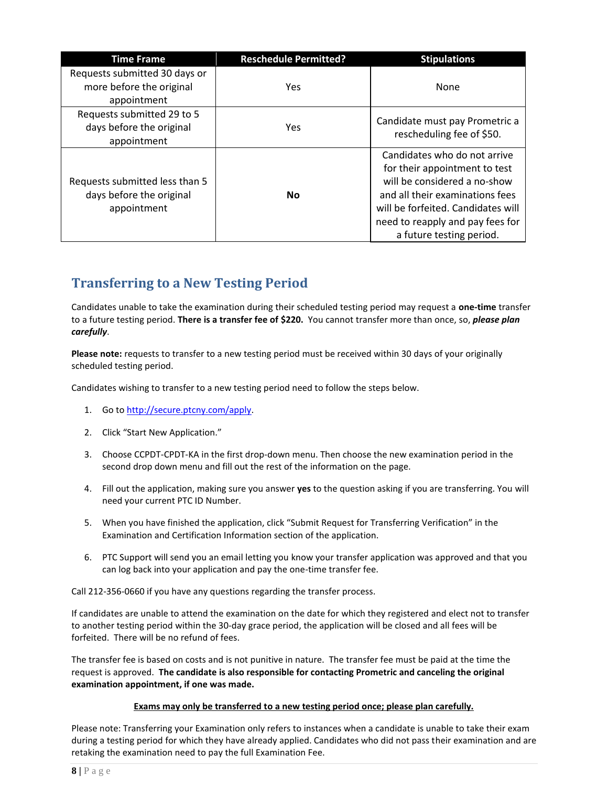| <b>Time Frame</b>                                                         | <b>Reschedule Permitted?</b> | <b>Stipulations</b>                                                                                                                                                                                                                    |
|---------------------------------------------------------------------------|------------------------------|----------------------------------------------------------------------------------------------------------------------------------------------------------------------------------------------------------------------------------------|
| Requests submitted 30 days or<br>more before the original<br>appointment  | <b>Yes</b>                   | None                                                                                                                                                                                                                                   |
| Requests submitted 29 to 5<br>days before the original<br>appointment     | Yes                          | Candidate must pay Prometric a<br>rescheduling fee of \$50.                                                                                                                                                                            |
| Requests submitted less than 5<br>days before the original<br>appointment | No.                          | Candidates who do not arrive<br>for their appointment to test<br>will be considered a no-show<br>and all their examinations fees<br>will be forfeited. Candidates will<br>need to reapply and pay fees for<br>a future testing period. |

# <span id="page-8-0"></span>**Transferring to a New Testing Period**

Candidates unable to take the examination during their scheduled testing period may request a **one-time** transfer to a future testing period. **There is a transfer fee of \$220.** You cannot transfer more than once, so, *please plan carefully*.

**Please note:** requests to transfer to a new testing period must be received within 30 days of your originally scheduled testing period.

Candidates wishing to transfer to a new testing period need to follow the steps below.

- 1. Go t[o http://secure.ptcny.com/apply.](http://secure.ptcny.com/apply)
- 2. Click "Start New Application."
- 3. Choose CCPDT-CPDT-KA in the first drop-down menu. Then choose the new examination period in the second drop down menu and fill out the rest of the information on the page.
- 4. Fill out the application, making sure you answer **yes** to the question asking if you are transferring. You will need your current PTC ID Number.
- 5. When you have finished the application, click "Submit Request for Transferring Verification" in the Examination and Certification Information section of the application.
- 6. PTC Support will send you an email letting you know your transfer application was approved and that you can log back into your application and pay the one-time transfer fee.

Call 212-356-0660 if you have any questions regarding the transfer process.

If candidates are unable to attend the examination on the date for which they registered and elect not to transfer to another testing period within the 30-day grace period, the application will be closed and all fees will be forfeited. There will be no refund of fees.

The transfer fee is based on costs and is not punitive in nature. The transfer fee must be paid at the time the request is approved. **The candidate is also responsible for contacting Prometric and canceling the original examination appointment, if one was made.**

#### **Exams may only be transferred to a new testing period once; please plan carefully.**

Please note: Transferring your Examination only refers to instances when a candidate is unable to take their exam during a testing period for which they have already applied. Candidates who did not pass their examination and are retaking the examination need to pay the full Examination Fee.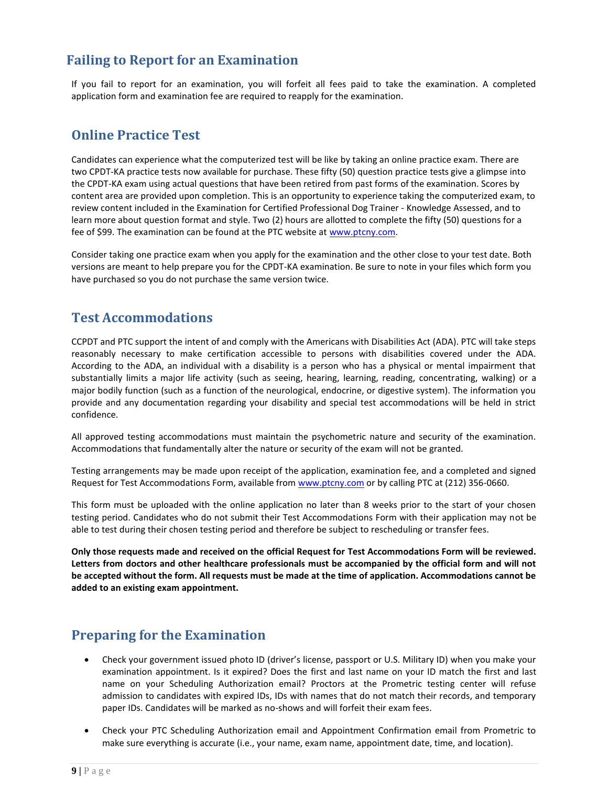# <span id="page-9-0"></span>**Failing to Report for an Examination**

If you fail to report for an examination, you will forfeit all fees paid to take the examination. A completed application form and examination fee are required to reapply for the examination.

# <span id="page-9-1"></span>**Online Practice Test**

Candidates can experience what the computerized test will be like by taking an online practice exam. There are two CPDT-KA practice tests now available for purchase. These fifty (50) question practice tests give a glimpse into the CPDT-KA exam using actual questions that have been retired from past forms of the examination. Scores by content area are provided upon completion. This is an opportunity to experience taking the computerized exam, to review content included in the Examination for Certified Professional Dog Trainer - Knowledge Assessed, and to learn more about question format and style. Two (2) hours are allotted to complete the fifty (50) questions for a fee of \$99. The examination can be found at the PTC website at [www.ptcny.com.](http://www.ptcny.com/) 

Consider taking one practice exam when you apply for the examination and the other close to your test date. Both versions are meant to help prepare you for the CPDT-KA examination. Be sure to note in your files which form you have purchased so you do not purchase the same version twice.

### <span id="page-9-2"></span>**Test Accommodations**

CCPDT and PTC support the intent of and comply with the Americans with Disabilities Act (ADA). PTC will take steps reasonably necessary to make certification accessible to persons with disabilities covered under the ADA. According to the ADA, an individual with a disability is a person who has a physical or mental impairment that substantially limits a major life activity (such as seeing, hearing, learning, reading, concentrating, walking) or a major bodily function (such as a function of the neurological, endocrine, or digestive system). The information you provide and any documentation regarding your disability and special test accommodations will be held in strict confidence.

All approved testing accommodations must maintain the psychometric nature and security of the examination. Accommodations that fundamentally alter the nature or security of the exam will not be granted.

Testing arrangements may be made upon receipt of the application, examination fee, and a completed and signed Request for Test Accommodations Form, available from [www.ptcny.com](file:///C:/Users/cheege/AppData/Local/Microsoft/Windows/INetCache/Content.Outlook/45IB62E8/www.ptcny.com) or by calling PTC at (212) 356-0660.

This form must be uploaded with the online application no later than 8 weeks prior to the start of your chosen testing period. Candidates who do not submit their Test Accommodations Form with their application may not be able to test during their chosen testing period and therefore be subject to rescheduling or transfer fees.

**Only those requests made and received on the official Request for Test Accommodations Form will be reviewed. Letters from doctors and other healthcare professionals must be accompanied by the official form and will not be accepted without the form. All requests must be made at the time of application. Accommodations cannot be added to an existing exam appointment.**

### <span id="page-9-3"></span>**Preparing for the Examination**

- Check your government issued photo ID (driver's license, passport or U.S. Military ID) when you make your examination appointment. Is it expired? Does the first and last name on your ID match the first and last name on your Scheduling Authorization email? Proctors at the Prometric testing center will refuse admission to candidates with expired IDs, IDs with names that do not match their records, and temporary paper IDs. Candidates will be marked as no-shows and will forfeit their exam fees.
- Check your PTC Scheduling Authorization email and Appointment Confirmation email from Prometric to make sure everything is accurate (i.e., your name, exam name, appointment date, time, and location).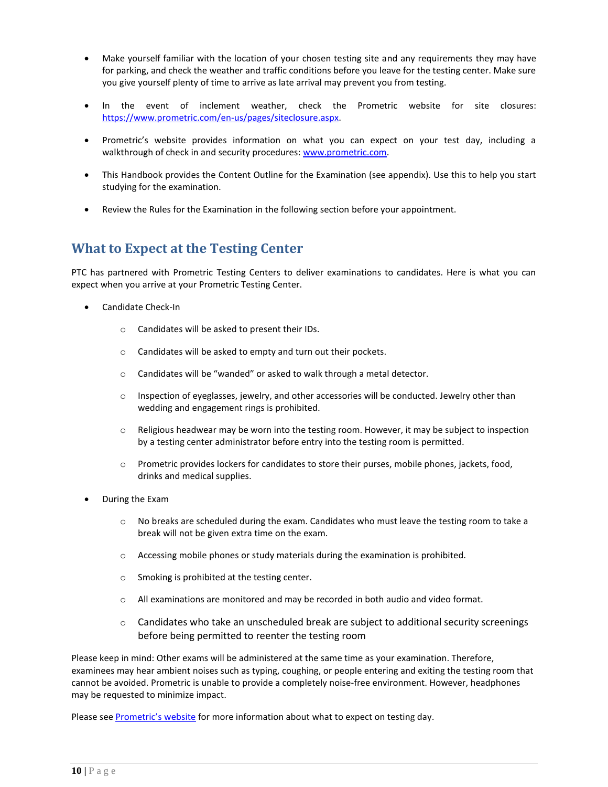- Make yourself familiar with the location of your chosen testing site and any requirements they may have for parking, and check the weather and traffic conditions before you leave for the testing center. Make sure you give yourself plenty of time to arrive as late arrival may prevent you from testing.
- In the event of inclement weather, check the Prometric website for site closures: [https://www.prometric.com/en-us/pages/siteclosure.aspx.](https://www.prometric.com/en-us/pages/siteclosure.aspx)
- Prometric's website provides information on what you can expect on your test day, including a walkthrough of check in and security procedures: [www.prometric.com.](http://www.prometric.com/)
- This Handbook provides the Content Outline for the Examination (see appendix). Use this to help you start studying for the examination.
- Review the Rules for the Examination in the following section before your appointment.

### <span id="page-10-0"></span>**What to Expect at the Testing Center**

PTC has partnered with Prometric Testing Centers to deliver examinations to candidates. Here is what you can expect when you arrive at your Prometric Testing Center.

- Candidate Check-In
	- o Candidates will be asked to present their IDs.
	- o Candidates will be asked to empty and turn out their pockets.
	- o Candidates will be "wanded" or asked to walk through a metal detector.
	- $\circ$  Inspection of eyeglasses, jewelry, and other accessories will be conducted. Jewelry other than wedding and engagement rings is prohibited.
	- $\circ$  Religious headwear may be worn into the testing room. However, it may be subject to inspection by a testing center administrator before entry into the testing room is permitted.
	- o Prometric provides lockers for candidates to store their purses, mobile phones, jackets, food, drinks and medical supplies.
- During the Exam
	- $\circ$  No breaks are scheduled during the exam. Candidates who must leave the testing room to take a break will not be given extra time on the exam.
	- $\circ$  Accessing mobile phones or study materials during the examination is prohibited.
	- o Smoking is prohibited at the testing center.
	- o All examinations are monitored and may be recorded in both audio and video format.
	- $\circ$  Candidates who take an unscheduled break are subject to additional security screenings before being permitted to reenter the testing room

Please keep in mind: Other exams will be administered at the same time as your examination. Therefore, examinees may hear ambient noises such as typing, coughing, or people entering and exiting the testing room that cannot be avoided. Prometric is unable to provide a completely noise-free environment. However, headphones may be requested to minimize impact.

Please see [Prometric's website](http://www.prometric.com/) for more information about what to expect on testing day.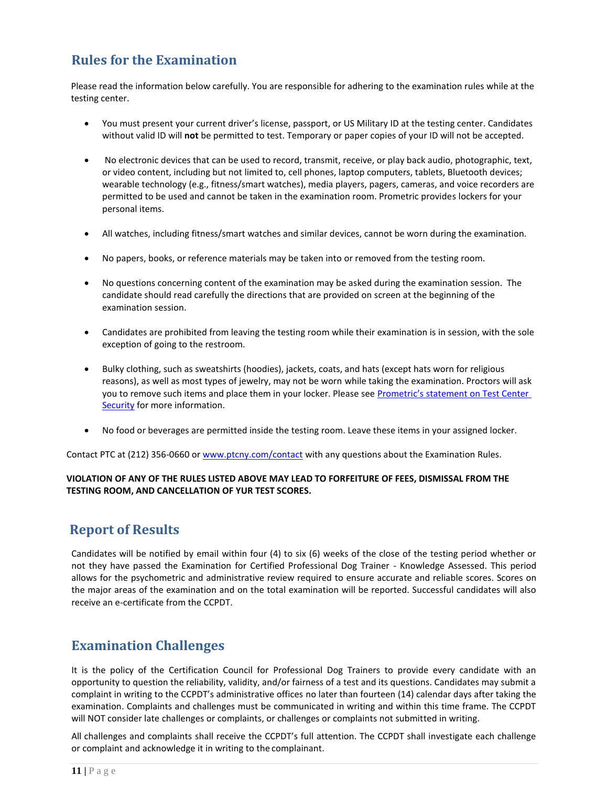# <span id="page-11-0"></span>**Rules for the Examination**

Please read the information below carefully. You are responsible for adhering to the examination rules while at the testing center.

- You must present your current driver's license, passport, or US Military ID at the testing center. Candidates without valid ID will **not** be permitted to test. Temporary or paper copies of your ID will not be accepted.
- No electronic devices that can be used to record, transmit, receive, or play back audio, photographic, text, or video content, including but not limited to, cell phones, laptop computers, tablets, Bluetooth devices; wearable technology (e.g., fitness/smart watches), media players, pagers, cameras, and voice recorders are permitted to be used and cannot be taken in the examination room. Prometric provides lockers for your personal items.
- All watches, including fitness/smart watches and similar devices, cannot be worn during the examination.
- No papers, books, or reference materials may be taken into or removed from the testing room.
- No questions concerning content of the examination may be asked during the examination session. The candidate should read carefully the directions that are provided on screen at the beginning of the examination session.
- Candidates are prohibited from leaving the testing room while their examination is in session, with the sole exception of going to the restroom.
- Bulky clothing, such as sweatshirts (hoodies), jackets, coats, and hats (except hats worn for religious reasons), as well as most types of jewelry, may not be worn while taking the examination. Proctors will ask you to remove such items and place them in your locker. Please see Prometric's statement on Test Center [Security](https://www.prometric.com/en-us/for-test-takers/pages/Test-Center-Security.aspx) for more information.
- No food or beverages are permitted inside the testing room. Leave these items in your assigned locker.

Contact PTC at (212) 356-0660 or [www.ptcny.com/contact](http://www.ptcny.com/contact) with any questions about the Examination Rules.

#### **VIOLATION OF ANY OF THE RULES LISTED ABOVE MAY LEAD TO FORFEITURE OF FEES, DISMISSAL FROM THE TESTING ROOM, AND CANCELLATION OF YUR TEST SCORES.**

### <span id="page-11-1"></span>**Report of Results**

Candidates will be notified by email within four (4) to six (6) weeks of the close of the testing period whether or not they have passed the Examination for Certified Professional Dog Trainer - Knowledge Assessed. This period allows for the psychometric and administrative review required to ensure accurate and reliable scores. Scores on the major areas of the examination and on the total examination will be reported. Successful candidates will also receive an e-certificate from the CCPDT.

# <span id="page-11-2"></span>**Examination Challenges**

It is the policy of the Certification Council for Professional Dog Trainers to provide every candidate with an opportunity to question the reliability, validity, and/or fairness of a test and its questions. Candidates may submit a complaint in writing to the CCPDT's administrative offices no later than fourteen (14) calendar days after taking the examination. Complaints and challenges must be communicated in writing and within this time frame. The CCPDT will NOT consider late challenges or complaints, or challenges or complaints not submitted in writing.

All challenges and complaints shall receive the CCPDT's full attention. The CCPDT shall investigate each challenge or complaint and acknowledge it in writing to the complainant.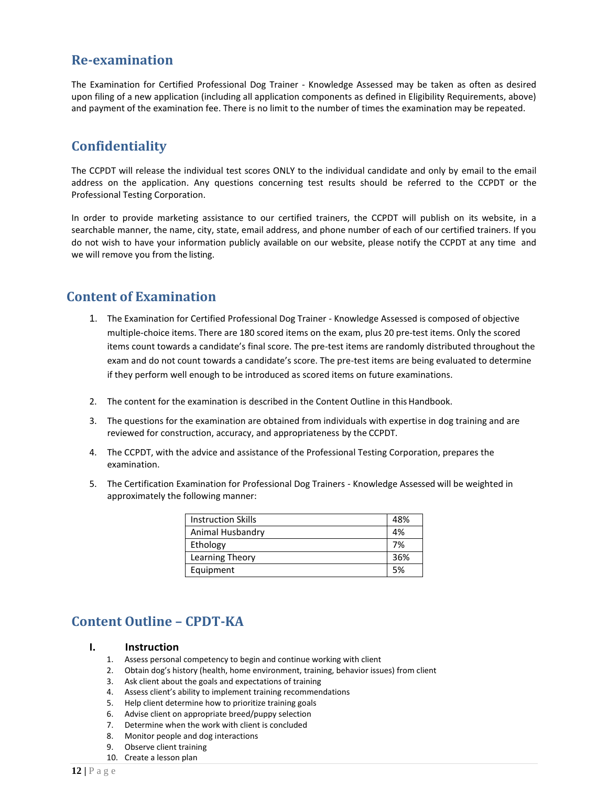### <span id="page-12-0"></span>**Re-examination**

The Examination for Certified Professional Dog Trainer - Knowledge Assessed may be taken as often as desired upon filing of a new application (including all application components as defined in Eligibility Requirements, above) and payment of the examination fee. There is no limit to the number of times the examination may be repeated.

# <span id="page-12-1"></span>**Confidentiality**

The CCPDT will release the individual test scores ONLY to the individual candidate and only by email to the email address on the application. Any questions concerning test results should be referred to the CCPDT or the Professional Testing Corporation.

In order to provide marketing assistance to our certified trainers, the CCPDT will publish on its website, in a searchable manner, the name, city, state, email address, and phone number of each of our certified trainers. If you do not wish to have your information publicly available on our website, please notify the CCPDT at any time and we will remove you from the listing.

### <span id="page-12-2"></span>**Content of Examination**

- 1. The Examination for Certified Professional Dog Trainer Knowledge Assessed is composed of objective multiple-choice items. There are 180 scored items on the exam, plus 20 pre-test items. Only the scored items count towards a candidate's final score. The pre-test items are randomly distributed throughout the exam and do not count towards a candidate's score. The pre-test items are being evaluated to determine if they perform well enough to be introduced as scored items on future examinations.
- 2. The content for the examination is described in the Content Outline in this Handbook.
- 3. The questions for the examination are obtained from individuals with expertise in dog training and are reviewed for construction, accuracy, and appropriateness by the CCPDT.
- 4. The CCPDT, with the advice and assistance of the Professional Testing Corporation, prepares the examination.
- 5. The Certification Examination for Professional Dog Trainers Knowledge Assessed will be weighted in approximately the following manner:

| <b>Instruction Skills</b> | 48% |
|---------------------------|-----|
| Animal Husbandry          | 4%  |
| Ethology                  | 7%  |
| Learning Theory           | 36% |
| Equipment                 | 5%  |

### <span id="page-12-3"></span>**Content Outline – CPDT-KA**

#### **I. Instruction**

- 1. Assess personal competency to begin and continue working with client
- 2. Obtain dog's history (health, home environment, training, behavior issues) from client
- 3. Ask client about the goals and expectations of training
- 4. Assess client's ability to implement training recommendations
- 5. Help client determine how to prioritize training goals
- 6. Advise client on appropriate breed/puppy selection
- 7. Determine when the work with client is concluded
- 8. Monitor people and dog interactions
- 9. Observe client training
- 10. Create a lesson plan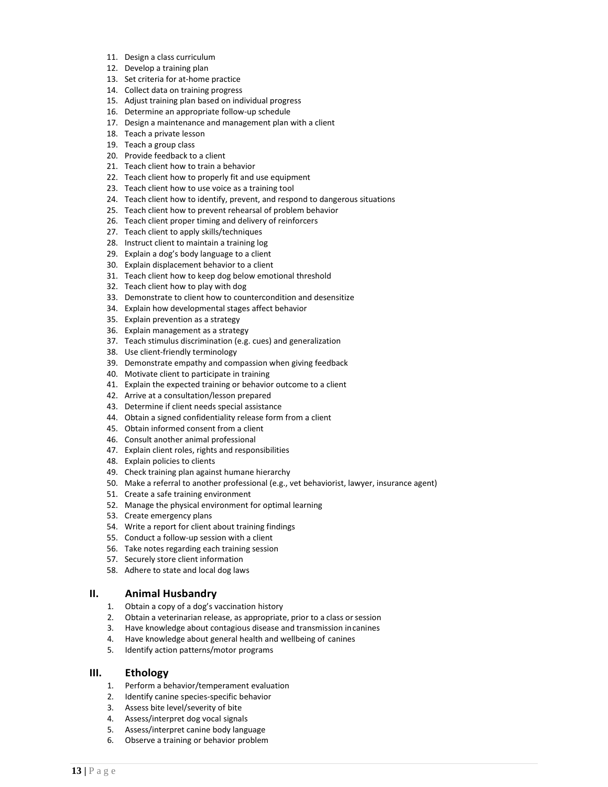- 11. Design a class curriculum
- 12. Develop a training plan
- 13. Set criteria for at-home practice
- 14. Collect data on training progress
- 15. Adjust training plan based on individual progress
- 16. Determine an appropriate follow-up schedule
- 17. Design a maintenance and management plan with a client
- 18. Teach a private lesson
- 19. Teach a group class
- 20. Provide feedback to a client
- 21. Teach client how to train a behavior
- 22. Teach client how to properly fit and use equipment
- 23. Teach client how to use voice as a training tool
- 24. Teach client how to identify, prevent, and respond to dangerous situations
- 25. Teach client how to prevent rehearsal of problem behavior
- 26. Teach client proper timing and delivery of reinforcers
- 27. Teach client to apply skills/techniques
- 28. Instruct client to maintain a training log
- 29. Explain a dog's body language to a client
- 30. Explain displacement behavior to a client
- 31. Teach client how to keep dog below emotional threshold
- 32. Teach client how to play with dog
- 33. Demonstrate to client how to countercondition and desensitize
- 34. Explain how developmental stages affect behavior
- 35. Explain prevention as a strategy
- 36. Explain management as a strategy
- 37. Teach stimulus discrimination (e.g. cues) and generalization
- 38. Use client-friendly terminology
- 39. Demonstrate empathy and compassion when giving feedback
- 40. Motivate client to participate in training
- 41. Explain the expected training or behavior outcome to a client
- 42. Arrive at a consultation/lesson prepared
- 43. Determine if client needs special assistance
- 44. Obtain a signed confidentiality release form from a client
- 45. Obtain informed consent from a client
- 46. Consult another animal professional
- 47. Explain client roles, rights and responsibilities
- 48. Explain policies to clients
- 49. Check training plan against humane hierarchy
- 50. Make a referral to another professional (e.g., vet behaviorist, lawyer, insurance agent)
- 51. Create a safe training environment
- 52. Manage the physical environment for optimal learning
- 53. Create emergency plans
- 54. Write a report for client about training findings
- 55. Conduct a follow-up session with a client
- 56. Take notes regarding each training session
- 57. Securely store client information
- 58. Adhere to state and local dog laws

#### **II. Animal Husbandry**

- 1. Obtain a copy of a dog's vaccination history
- 2. Obtain a veterinarian release, as appropriate, prior to a class or session
- 3. Have knowledge about contagious disease and transmission incanines
- 4. Have knowledge about general health and wellbeing of canines
- 5. Identify action patterns/motor programs

#### **III. Ethology**

- 1. Perform a behavior/temperament evaluation
- 2. Identify canine species-specific behavior
- 3. Assess bite level/severity of bite
- 4. Assess/interpret dog vocal signals
- 5. Assess/interpret canine body language
- 6. Observe a training or behavior problem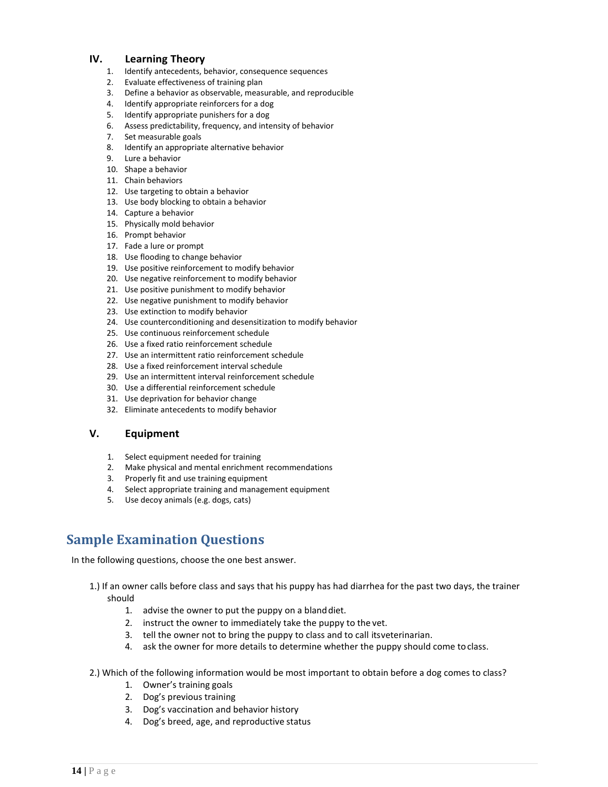#### **IV. Learning Theory**

- 1. Identify antecedents, behavior, consequence sequences
- 2. Evaluate effectiveness of training plan
- 3. Define a behavior as observable, measurable, and reproducible
- 4. Identify appropriate reinforcers for a dog
- 5. Identify appropriate punishers for a dog
- 6. Assess predictability, frequency, and intensity of behavior
- 7. Set measurable goals
- 8. Identify an appropriate alternative behavior
- 9. Lure a behavior
- 10. Shape a behavior
- 11. Chain behaviors
- 12. Use targeting to obtain a behavior
- 13. Use body blocking to obtain a behavior
- 14. Capture a behavior
- 15. Physically mold behavior
- 16. Prompt behavior
- 17. Fade a lure or prompt
- 18. Use flooding to change behavior
- 19. Use positive reinforcement to modify behavior
- 20. Use negative reinforcement to modify behavior
- 21. Use positive punishment to modify behavior
- 22. Use negative punishment to modify behavior
- 23. Use extinction to modify behavior
- 24. Use counterconditioning and desensitization to modify behavior
- 25. Use continuous reinforcement schedule
- 26. Use a fixed ratio reinforcement schedule
- 27. Use an intermittent ratio reinforcement schedule
- 28. Use a fixed reinforcement interval schedule
- 29. Use an intermittent interval reinforcement schedule
- 30. Use a differential reinforcement schedule
- 31. Use deprivation for behavior change
- 32. Eliminate antecedents to modify behavior

#### **V. Equipment**

- 1. Select equipment needed for training
- 2. Make physical and mental enrichment recommendations
- 3. Properly fit and use training equipment
- 4. Select appropriate training and management equipment
- 5. Use decoy animals (e.g. dogs, cats)

# <span id="page-14-0"></span>**Sample Examination Questions**

In the following questions, choose the one best answer.

- 1.) If an owner calls before class and says that his puppy has had diarrhea for the past two days, the trainer should
	- 1. advise the owner to put the puppy on a blanddiet.
	- 2. instruct the owner to immediately take the puppy to the vet.
	- 3. tell the owner not to bring the puppy to class and to call itsveterinarian.
	- 4. ask the owner for more details to determine whether the puppy should come toclass.
- 2.) Which of the following information would be most important to obtain before a dog comes to class?
	- 1. Owner's training goals
	- 2. Dog's previous training
	- 3. Dog's vaccination and behavior history
	- 4. Dog's breed, age, and reproductive status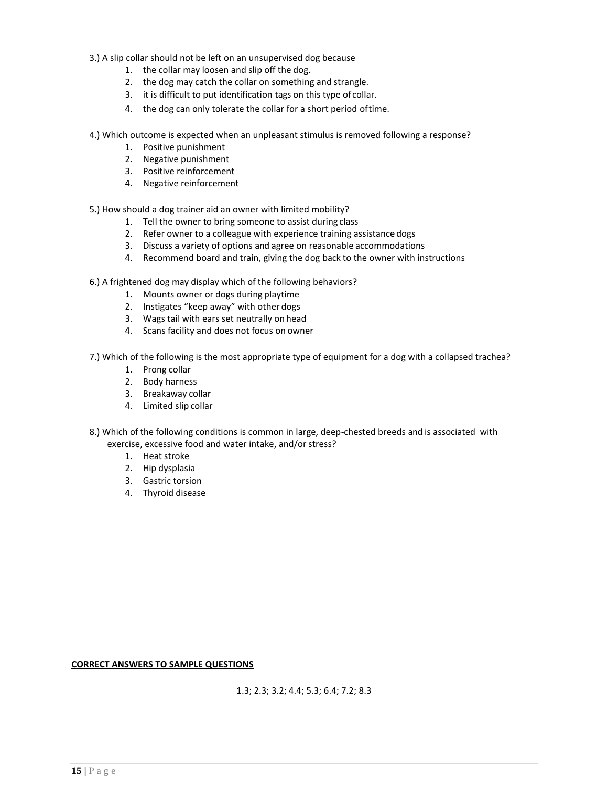- 3.) A slip collar should not be left on an unsupervised dog because
	- 1. the collar may loosen and slip off the dog.
	- 2. the dog may catch the collar on something and strangle.
	- 3. it is difficult to put identification tags on this type of collar.
	- 4. the dog can only tolerate the collar for a short period oftime.
- 4.) Which outcome is expected when an unpleasant stimulus is removed following a response?
	- 1. Positive punishment
	- 2. Negative punishment
	- 3. Positive reinforcement
	- 4. Negative reinforcement
- 5.) How should a dog trainer aid an owner with limited mobility?
	- 1. Tell the owner to bring someone to assist during class
	- 2. Refer owner to a colleague with experience training assistance dogs
	- 3. Discuss a variety of options and agree on reasonable accommodations
	- 4. Recommend board and train, giving the dog back to the owner with instructions
- 6.) A frightened dog may display which of the following behaviors?
	- 1. Mounts owner or dogs during playtime
	- 2. Instigates "keep away" with other dogs
	- 3. Wags tail with ears set neutrally on head
	- 4. Scans facility and does not focus on owner

7.) Which of the following is the most appropriate type of equipment for a dog with a collapsed trachea?

- 1. Prong collar
- 2. Body harness
- 3. Breakaway collar
- 4. Limited slip collar
- 8.) Which of the following conditions is common in large, deep-chested breeds and is associated with exercise, excessive food and water intake, and/or stress?
	- 1. Heat stroke
	- 2. Hip dysplasia
	- 3. Gastric torsion
	- 4. Thyroid disease

**CORRECT ANSWERS TO SAMPLE QUESTIONS**

1.3; 2.3; 3.2; 4.4; 5.3; 6.4; 7.2; 8.3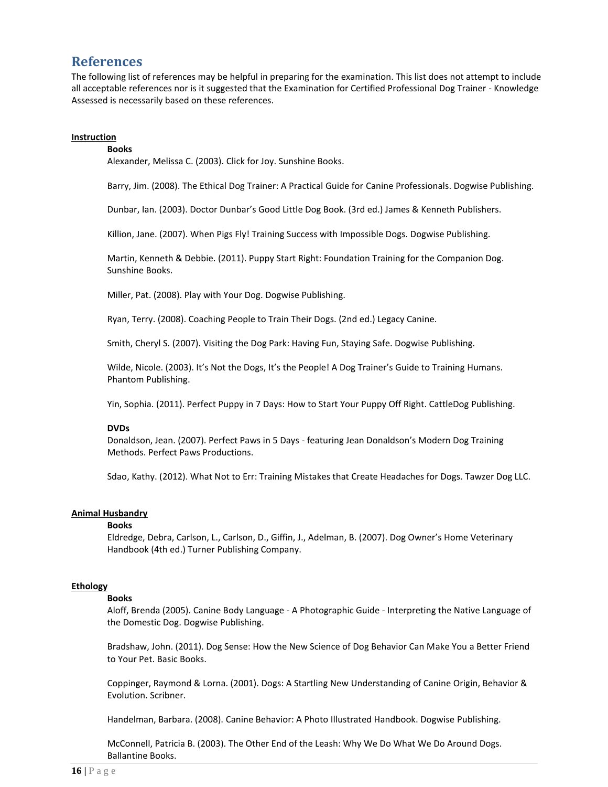### <span id="page-16-0"></span>**References**

The following list of references may be helpful in preparing for the examination. This list does not attempt to include all acceptable references nor is it suggested that the Examination for Certified Professional Dog Trainer - Knowledge Assessed is necessarily based on these references.

#### **Instruction**

#### **Books**

Alexander, Melissa C. (2003). Click for Joy. Sunshine Books.

Barry, Jim. (2008). The Ethical Dog Trainer: A Practical Guide for Canine Professionals. Dogwise Publishing.

Dunbar, Ian. (2003). Doctor Dunbar's Good Little Dog Book. (3rd ed.) James & Kenneth Publishers.

Killion, Jane. (2007). When Pigs Fly! Training Success with Impossible Dogs. Dogwise Publishing.

Martin, Kenneth & Debbie. (2011). Puppy Start Right: Foundation Training for the Companion Dog. Sunshine Books.

Miller, Pat. (2008). Play with Your Dog. Dogwise Publishing.

Ryan, Terry. (2008). Coaching People to Train Their Dogs. (2nd ed.) Legacy Canine.

Smith, Cheryl S. (2007). Visiting the Dog Park: Having Fun, Staying Safe. Dogwise Publishing.

Wilde, Nicole. (2003). It's Not the Dogs, It's the People! A Dog Trainer's Guide to Training Humans. Phantom Publishing.

Yin, Sophia. (2011). Perfect Puppy in 7 Days: How to Start Your Puppy Off Right. CattleDog Publishing.

#### **DVDs**

Donaldson, Jean. (2007). Perfect Paws in 5 Days - featuring Jean Donaldson's Modern Dog Training Methods. Perfect Paws Productions.

Sdao, Kathy. (2012). What Not to Err: Training Mistakes that Create Headaches for Dogs. Tawzer Dog LLC.

#### **Animal Husbandry**

#### **Books**

Eldredge, Debra, Carlson, L., Carlson, D., Giffin, J., Adelman, B. (2007). Dog Owner's Home Veterinary Handbook (4th ed.) Turner Publishing Company.

#### **Ethology**

#### **Books**

Aloff, Brenda (2005). Canine Body Language - A Photographic Guide - Interpreting the Native Language of the Domestic Dog. Dogwise Publishing.

Bradshaw, John. (2011). Dog Sense: How the New Science of Dog Behavior Can Make You a Better Friend to Your Pet. Basic Books.

Coppinger, Raymond & Lorna. (2001). Dogs: A Startling New Understanding of Canine Origin, Behavior & Evolution. Scribner.

Handelman, Barbara. (2008). Canine Behavior: A Photo Illustrated Handbook. Dogwise Publishing.

McConnell, Patricia B. (2003). The Other End of the Leash: Why We Do What We Do Around Dogs. Ballantine Books.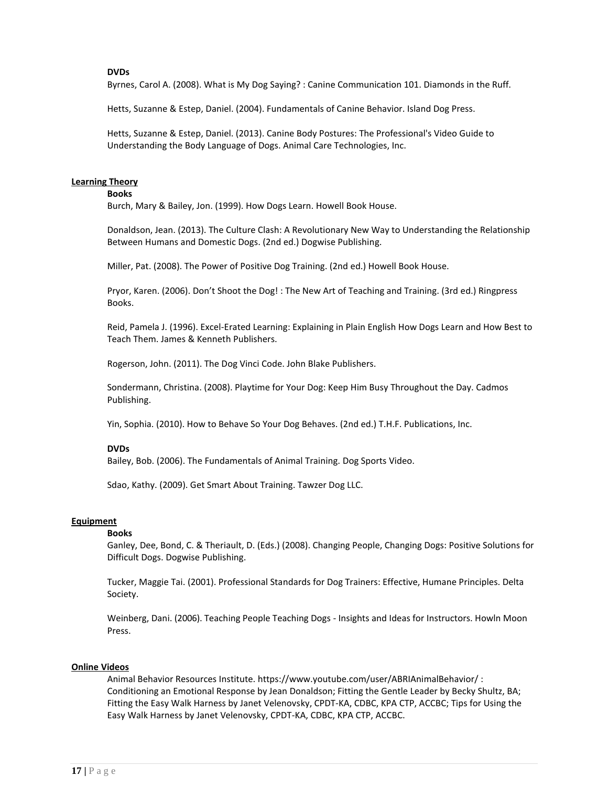#### **DVDs**

Byrnes, Carol A. (2008). What is My Dog Saying? : Canine Communication 101. Diamonds in the Ruff.

Hetts, Suzanne & Estep, Daniel. (2004). Fundamentals of Canine Behavior. Island Dog Press.

Hetts, Suzanne & Estep, Daniel. (2013). Canine Body Postures: The Professional's Video Guide to Understanding the Body Language of Dogs. Animal Care Technologies, Inc.

#### **Learning Theory**

#### **Books**

Burch, Mary & Bailey, Jon. (1999). How Dogs Learn. Howell Book House.

Donaldson, Jean. (2013). The Culture Clash: A Revolutionary New Way to Understanding the Relationship Between Humans and Domestic Dogs. (2nd ed.) Dogwise Publishing.

Miller, Pat. (2008). The Power of Positive Dog Training. (2nd ed.) Howell Book House.

Pryor, Karen. (2006). Don't Shoot the Dog! : The New Art of Teaching and Training. (3rd ed.) Ringpress Books.

Reid, Pamela J. (1996). Excel-Erated Learning: Explaining in Plain English How Dogs Learn and How Best to Teach Them. James & Kenneth Publishers.

Rogerson, John. (2011). The Dog Vinci Code. John Blake Publishers.

Sondermann, Christina. (2008). Playtime for Your Dog: Keep Him Busy Throughout the Day. Cadmos Publishing.

Yin, Sophia. (2010). How to Behave So Your Dog Behaves. (2nd ed.) T.H.F. Publications, Inc.

#### **DVDs**

Bailey, Bob. (2006). The Fundamentals of Animal Training. Dog Sports Video.

Sdao, Kathy. (2009). Get Smart About Training. Tawzer Dog LLC.

#### **Equipment**

#### **Books**

Ganley, Dee, Bond, C. & Theriault, D. (Eds.) (2008). Changing People, Changing Dogs: Positive Solutions for Difficult Dogs. Dogwise Publishing.

Tucker, Maggie Tai. (2001). Professional Standards for Dog Trainers: Effective, Humane Principles. Delta Society.

Weinberg, Dani. (2006). Teaching People Teaching Dogs - Insights and Ideas for Instructors. Howln Moon Press.

#### **Online Videos**

Animal Behavior Resources Institute. https:/[/www.youtube.com/user/ABRIAnimalBehavior/ :](http://www.youtube.com/user/ABRIAnimalBehavior/) Conditioning an Emotional Response by Jean Donaldson; Fitting the Gentle Leader by Becky Shultz, BA; Fitting the Easy Walk Harness by Janet Velenovsky, CPDT-KA, CDBC, KPA CTP, ACCBC; Tips for Using the Easy Walk Harness by Janet Velenovsky, CPDT-KA, CDBC, KPA CTP, ACCBC.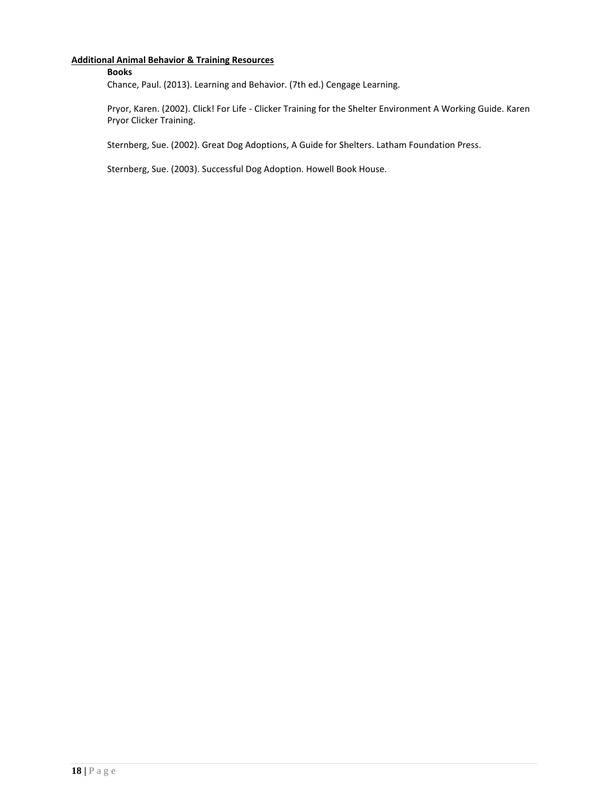#### **Additional Animal Behavior & Training Resources**

#### **Books**

Chance, Paul. (2013). Learning and Behavior. (7th ed.) Cengage Learning.

Pryor, Karen. (2002). Click! For Life - Clicker Training for the Shelter Environment A Working Guide. Karen Pryor Clicker Training.

Sternberg, Sue. (2002). Great Dog Adoptions, A Guide for Shelters. Latham Foundation Press.

Sternberg, Sue. (2003). Successful Dog Adoption. Howell Book House.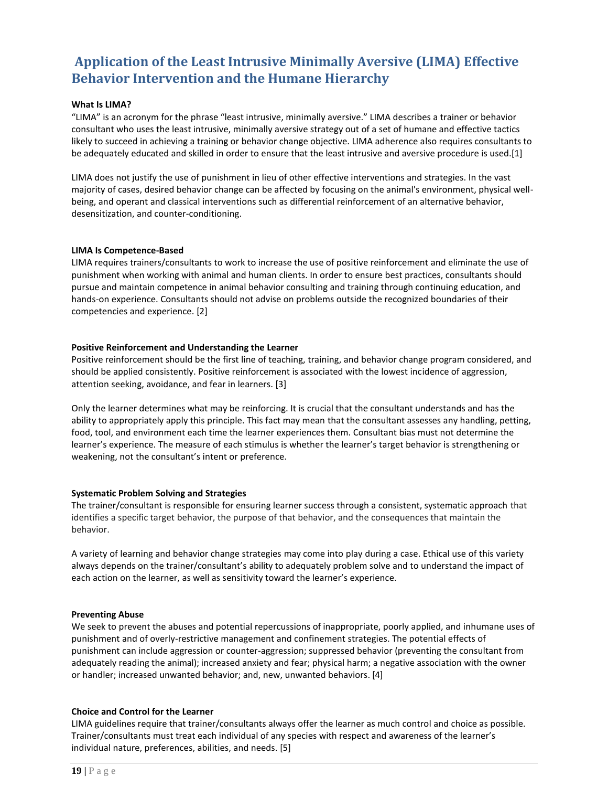# **Application of the Least Intrusive Minimally Aversive (LIMA) Effective Behavior Intervention and the Humane Hierarchy**

#### **What Is LIMA?**

"LIMA" is an acronym for the phrase "least intrusive, minimally aversive." LIMA describes a trainer or behavior consultant who uses the least intrusive, minimally aversive strategy out of a set of humane and effective tactics likely to succeed in achieving a training or behavior change objective. LIMA adherence also requires consultants to be adequately educated and skilled in order to ensure that the least intrusive and aversive procedure is used.[1]

LIMA does not justify the use of punishment in lieu of other effective interventions and strategies. In the vast majority of cases, desired behavior change can be affected by focusing on the animal's environment, physical wellbeing, and operant and classical interventions such as differential reinforcement of an alternative behavior, desensitization, and counter-conditioning.

#### **LIMA Is Competence-Based**

LIMA requires trainers/consultants to work to increase the use of positive reinforcement and eliminate the use of punishment when working with animal and human clients. In order to ensure best practices, consultants should pursue and maintain competence in animal behavior consulting and training through continuing education, and hands-on experience. Consultants should not advise on problems outside the recognized boundaries of their competencies and experience. [2]

#### **Positive Reinforcement and Understanding the Learner**

Positive reinforcement should be the first line of teaching, training, and behavior change program considered, and should be applied consistently. Positive reinforcement is associated with the lowest incidence of aggression, attention seeking, avoidance, and fear in learners. [3]

Only the learner determines what may be reinforcing. It is crucial that the consultant understands and has the ability to appropriately apply this principle. This fact may mean that the consultant assesses any handling, petting, food, tool, and environment each time the learner experiences them. Consultant bias must not determine the learner's experience. The measure of each stimulus is whether the learner's target behavior is strengthening or weakening, not the consultant's intent or preference.

#### **Systematic Problem Solving and Strategies**

The trainer/consultant is responsible for ensuring learner success through a consistent, systematic approach that identifies a specific target behavior, the purpose of that behavior, and the consequences that maintain the behavior.

A variety of learning and behavior change strategies may come into play during a case. Ethical use of this variety always depends on the trainer/consultant's ability to adequately problem solve and to understand the impact of each action on the learner, as well as sensitivity toward the learner's experience.

#### **Preventing Abuse**

We seek to prevent the abuses and potential repercussions of inappropriate, poorly applied, and inhumane uses of punishment and of overly-restrictive management and confinement strategies. The potential effects of punishment can include aggression or counter-aggression; suppressed behavior (preventing the consultant from adequately reading the animal); increased anxiety and fear; physical harm; a negative association with the owner or handler; increased unwanted behavior; and, new, unwanted behaviors. [4]

#### **Choice and Control for the Learner**

LIMA guidelines require that trainer/consultants always offer the learner as much control and choice as possible. Trainer/consultants must treat each individual of any species with respect and awareness of the learner's individual nature, preferences, abilities, and needs. [5]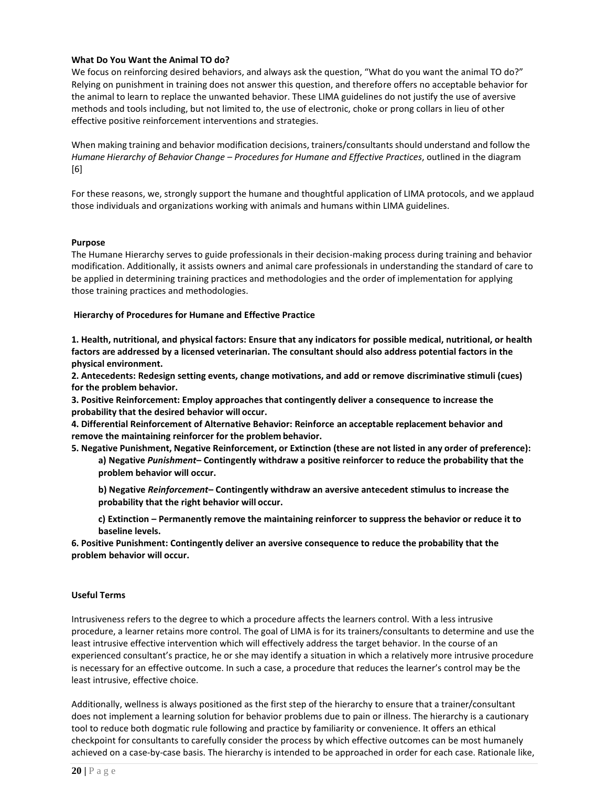#### **What Do You Want the Animal TO do?**

We focus on reinforcing desired behaviors, and always ask the question, "What do you want the animal TO do?" Relying on punishment in training does not answer this question, and therefore offers no acceptable behavior for the animal to learn to replace the unwanted behavior. These LIMA guidelines do not justify the use of aversive methods and tools including, but not limited to, the use of electronic, choke or prong collars in lieu of other effective positive reinforcement interventions and strategies.

When making training and behavior modification decisions, trainers/consultants should understand and follow the *Humane Hierarchy of Behavior Change – Procedures for Humane and Effective Practices*, outlined in the diagram [6]

For these reasons, we, strongly support the humane and thoughtful application of LIMA protocols, and we applaud those individuals and organizations working with animals and humans within LIMA guidelines.

#### **Purpose**

The Humane Hierarchy serves to guide professionals in their decision-making process during training and behavior modification. Additionally, it assists owners and animal care professionals in understanding the standard of care to be applied in determining training practices and methodologies and the order of implementation for applying those training practices and methodologies.

#### **Hierarchy of Procedures for Humane and Effective Practice**

**1. Health, nutritional, and physical factors: Ensure that any indicators for possible medical, nutritional, or health factors are addressed by a licensed veterinarian. The consultant should also address potential factors in the physical environment.**

**2. Antecedents: Redesign setting events, change motivations, and add or remove discriminative stimuli (cues) for the problem behavior.**

**3. Positive Reinforcement: Employ approaches that contingently deliver a consequence to increase the probability that the desired behavior will occur.**

**4. Differential Reinforcement of Alternative Behavior: Reinforce an acceptable replacement behavior and remove the maintaining reinforcer for the problem behavior.**

- **5. Negative Punishment, Negative Reinforcement, or Extinction (these are not listed in any order of preference): a) Negative** *Punishment***– Contingently withdraw a positive reinforcer to reduce the probability that the problem behavior will occur.**
	- **b) Negative** *Reinforcement***– Contingently withdraw an aversive antecedent stimulus to increase the probability that the right behavior will occur.**
	- **c) Extinction – Permanently remove the maintaining reinforcer to suppress the behavior or reduce it to baseline levels.**

**6. Positive Punishment: Contingently deliver an aversive consequence to reduce the probability that the problem behavior will occur.**

#### **Useful Terms**

Intrusiveness refers to the degree to which a procedure affects the learners control. With a less intrusive procedure, a learner retains more control. The goal of LIMA is for its trainers/consultants to determine and use the least intrusive effective intervention which will effectively address the target behavior. In the course of an experienced consultant's practice, he or she may identify a situation in which a relatively more intrusive procedure is necessary for an effective outcome. In such a case, a procedure that reduces the learner's control may be the least intrusive, effective choice.

Additionally, wellness is always positioned as the first step of the hierarchy to ensure that a trainer/consultant does not implement a learning solution for behavior problems due to pain or illness. The hierarchy is a cautionary tool to reduce both dogmatic rule following and practice by familiarity or convenience. It offers an ethical checkpoint for consultants to carefully consider the process by which effective outcomes can be most humanely achieved on a case-by-case basis. The hierarchy is intended to be approached in order for each case. Rationale like,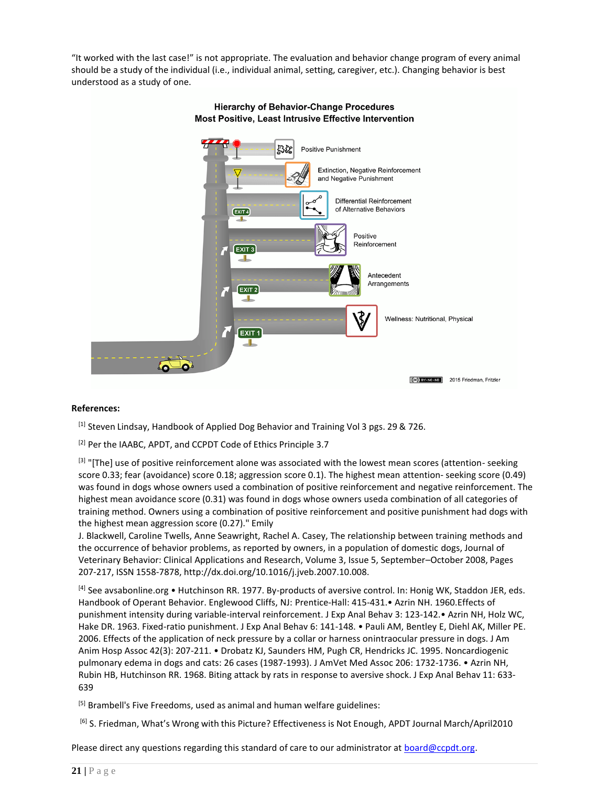"It worked with the last case!" is not appropriate. The evaluation and behavior change program of every animal should be a study of the individual (i.e., individual animal, setting, caregiver, etc.). Changing behavior is best understood as a study of one.



#### **Hierarchy of Behavior-Change Procedures** Most Positive, Least Intrusive Effective Intervention

#### **References:**

[1] Steven Lindsay, Handbook of Applied Dog Behavior and Training Vol 3 pgs. 29 & 726.

[2] Per the IAABC, APDT, and CCPDT Code of Ethics Principle 3.7

[3] "[The] use of positive reinforcement alone was associated with the lowest mean scores (attention- seeking score 0.33; fear (avoidance) score 0.18; aggression score 0.1). The highest mean attention- seeking score (0.49) was found in dogs whose owners used a combination of positive reinforcement and negative reinforcement. The highest mean avoidance score (0.31) was found in dogs whose owners useda combination of all categories of training method. Owners using a combination of positive reinforcement and positive punishment had dogs with the highest mean aggression score (0.27)." Emily

J. Blackwell, Caroline Twells, Anne Seawright, Rachel A. Casey, The relationship between training methods and the occurrence of behavior problems, as reported by owners, in a population of domestic dogs, Journal of Veterinary Behavior: Clinical Applications and Research, Volume 3, Issue 5, September–October 2008, Pages 207-217, ISSN 1558-7878, [http://dx.doi.org/10.1016/j.jveb.2007.10.008.](http://dx.doi.org/10.1016/j.jveb.2007.10.008)

[4] See avsabonline.org • Hutchinson RR. 1977. By-products of aversive control. In: Honig WK, Staddon JER, eds. Handbook of Operant Behavior. Englewood Cliffs, NJ: Prentice-Hall: 415-431.• Azrin NH. 1960.Effects of punishment intensity during variable-interval reinforcement. J Exp Anal Behav 3: 123-142.• Azrin NH, Holz WC, Hake DR. 1963. Fixed-ratio punishment. J Exp Anal Behav 6: 141-148. • Pauli AM, Bentley E, Diehl AK, Miller PE. 2006. Effects of the application of neck pressure by a collar or harness onintraocular pressure in dogs. J Am Anim Hosp Assoc 42(3): 207-211. • Drobatz KJ, Saunders HM, Pugh CR, Hendricks JC. 1995. Noncardiogenic pulmonary edema in dogs and cats: 26 cases (1987-1993). J AmVet Med Assoc 206: 1732-1736. • Azrin NH, Rubin HB, Hutchinson RR. 1968. Biting attack by rats in response to aversive shock. J Exp Anal Behav 11: 633- 639

[5] Brambell's Five Freedoms, used as animal and human welfare guidelines:

[6] S. Friedman, What's Wrong with this Picture? Effectiveness is Not Enough, APDT Journal March/April2010

Please direct any questions regarding this standard of care to our administrator at **board@ccpdt.org**.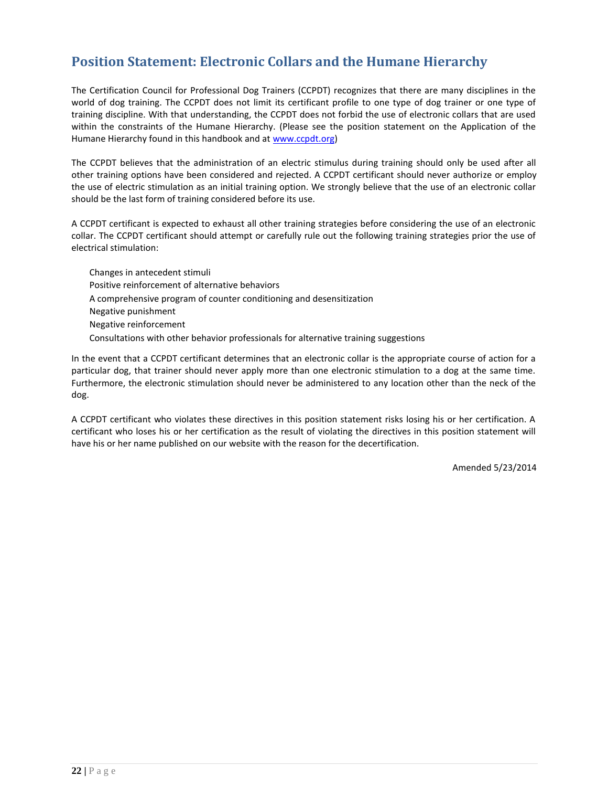# <span id="page-22-0"></span>**Position Statement: Electronic Collars and the Humane Hierarchy**

The Certification Council for Professional Dog Trainers (CCPDT) recognizes that there are many disciplines in the world of dog training. The CCPDT does not limit its certificant profile to one type of dog trainer or one type of training discipline. With that understanding, the CCPDT does not forbid the use of electronic collars that are used within the constraints of the Humane Hierarchy. (Please see the position statement on the Application of the Humane Hierarchy found in this handbook and a[t www.ccpdt.org\)](http://www.ccpdt.org/)

The CCPDT believes that the administration of an electric stimulus during training should only be used after all other training options have been considered and rejected. A CCPDT certificant should never authorize or employ the use of electric stimulation as an initial training option. We strongly believe that the use of an electronic collar should be the last form of training considered before its use.

A CCPDT certificant is expected to exhaust all other training strategies before considering the use of an electronic collar. The CCPDT certificant should attempt or carefully rule out the following training strategies prior the use of electrical stimulation:

Changes in antecedent stimuli Positive reinforcement of alternative behaviors A comprehensive program of counter conditioning and desensitization Negative punishment Negative reinforcement Consultations with other behavior professionals for alternative training suggestions

In the event that a CCPDT certificant determines that an electronic collar is the appropriate course of action for a particular dog, that trainer should never apply more than one electronic stimulation to a dog at the same time. Furthermore, the electronic stimulation should never be administered to any location other than the neck of the dog.

A CCPDT certificant who violates these directives in this position statement risks losing his or her certification. A certificant who loses his or her certification as the result of violating the directives in this position statement will have his or her name published on our website with the reason for the decertification.

Amended 5/23/2014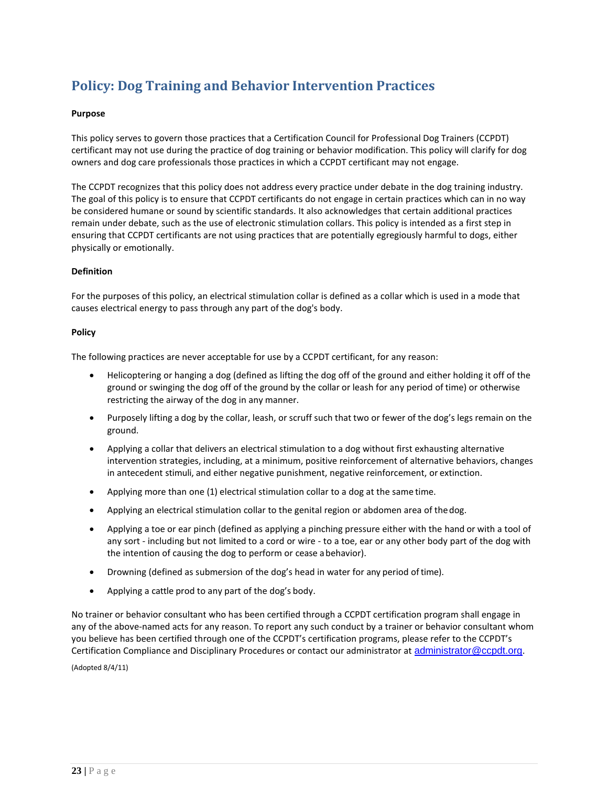# <span id="page-23-0"></span>**Policy: Dog Training and Behavior Intervention Practices**

#### **Purpose**

This policy serves to govern those practices that a Certification Council for Professional Dog Trainers (CCPDT) certificant may not use during the practice of dog training or behavior modification. This policy will clarify for dog owners and dog care professionals those practices in which a CCPDT certificant may not engage.

The CCPDT recognizes that this policy does not address every practice under debate in the dog training industry. The goal of this policy is to ensure that CCPDT certificants do not engage in certain practices which can in no way be considered humane or sound by scientific standards. It also acknowledges that certain additional practices remain under debate, such as the use of electronic stimulation collars. This policy is intended as a first step in ensuring that CCPDT certificants are not using practices that are potentially egregiously harmful to dogs, either physically or emotionally.

#### **Definition**

For the purposes of this policy, an electrical stimulation collar is defined as a collar which is used in a mode that causes electrical energy to pass through any part of the dog's body.

#### **Policy**

The following practices are never acceptable for use by a CCPDT certificant, for any reason:

- Helicoptering or hanging a dog (defined as lifting the dog off of the ground and either holding it off of the ground or swinging the dog off of the ground by the collar or leash for any period of time) or otherwise restricting the airway of the dog in any manner.
- Purposely lifting a dog by the collar, leash, or scruff such that two or fewer of the dog's legs remain on the ground.
- Applying a collar that delivers an electrical stimulation to a dog without first exhausting alternative intervention strategies, including, at a minimum, positive reinforcement of alternative behaviors, changes in antecedent stimuli, and either negative punishment, negative reinforcement, or extinction.
- Applying more than one (1) electrical stimulation collar to a dog at the same time.
- Applying an electrical stimulation collar to the genital region or abdomen area of thedog.
- Applying a toe or ear pinch (defined as applying a pinching pressure either with the hand or with a tool of any sort - including but not limited to a cord or wire - to a toe, ear or any other body part of the dog with the intention of causing the dog to perform or cease abehavior).
- Drowning (defined as submersion of the dog's head in water for any period of time).
- Applying a cattle prod to any part of the dog's body.

No trainer or behavior consultant who has been certified through a CCPDT certification program shall engage in any of the above-named acts for any reason. To report any such conduct by a trainer or behavior consultant whom you believe has been certified through one of the CCPDT's certification programs, please refer to the CCPDT's Certification Compliance and Disciplinary Procedures or contact our administrator at [administrator@ccpdt.org](mailto:administrator@ccpdt.org).

(Adopted 8/4/11)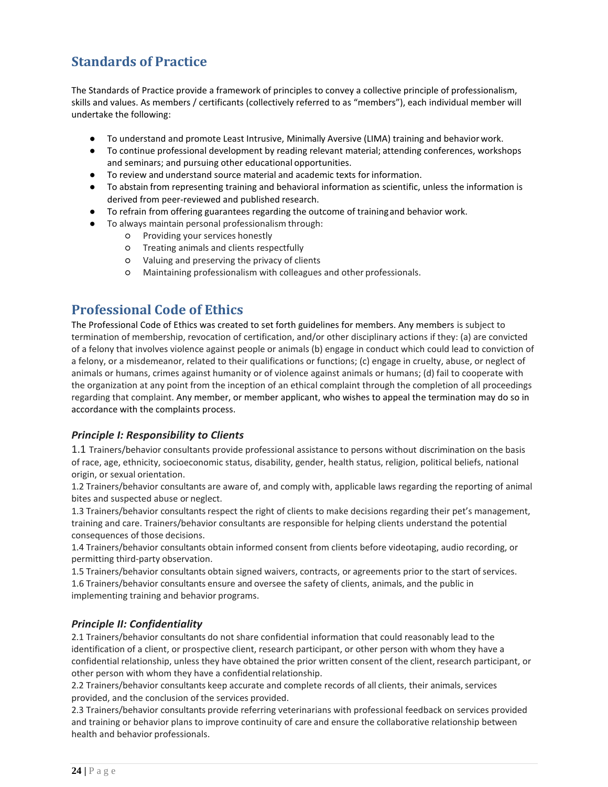# **Standards of Practice**

The Standards of Practice provide a framework of principles to convey a collective principle of professionalism, skills and values. As members / certificants (collectively referred to as "members"), each individual member will undertake the following:

- To understand and promote Least Intrusive, Minimally Aversive (LIMA) training and behavior work.
- To continue professional development by reading relevant material; attending conferences, workshops and seminars; and pursuing other educational opportunities.
- To review and understand source material and academic texts for information.
- To abstain from representing training and behavioral information as scientific, unless the information is derived from peer-reviewed and published research.
- To refrain from offering guarantees regarding the outcome of trainingand behavior work.
- To always maintain personal professionalism through:
	- Providing your services honestly
	- Treating animals and clients respectfully
	- Valuing and preserving the privacy of clients
	- Maintaining professionalism with colleagues and other professionals.

### **Professional Code of Ethics**

The Professional Code of Ethics was created to set forth guidelines for members. Any members is subject to termination of membership, revocation of certification, and/or other disciplinary actions if they: (a) are convicted of a felony that involves violence against people or animals (b) engage in conduct which could lead to conviction of a felony, or a misdemeanor, related to their qualifications or functions; (c) engage in cruelty, abuse, or neglect of animals or humans, crimes against humanity or of violence against animals or humans; (d) fail to cooperate with the organization at any point from the inception of an ethical complaint through the completion of all proceedings regarding that complaint. Any member, or member applicant, who wishes to appeal the termination may do so in accordance with the complaints process.

#### *Principle I: Responsibility to Clients*

1.1 Trainers/behavior consultants provide professional assistance to persons without discrimination on the basis of race, age, ethnicity, socioeconomic status, disability, gender, health status, religion, political beliefs, national origin, or sexual orientation.

1.2 Trainers/behavior consultants are aware of, and comply with, applicable laws regarding the reporting of animal bites and suspected abuse or neglect.

1.3 Trainers/behavior consultants respect the right of clients to make decisions regarding their pet's management, training and care. Trainers/behavior consultants are responsible for helping clients understand the potential consequences of those decisions.

1.4 Trainers/behavior consultants obtain informed consent from clients before videotaping, audio recording, or permitting third-party observation.

1.5 Trainers/behavior consultants obtain signed waivers, contracts, or agreements prior to the start ofservices. 1.6 Trainers/behavior consultants ensure and oversee the safety of clients, animals, and the public in implementing training and behavior programs.

#### *Principle II: Confidentiality*

2.1 Trainers/behavior consultants do not share confidential information that could reasonably lead to the identification of a client, or prospective client, research participant, or other person with whom they have a confidential relationship, unless they have obtained the prior written consent of the client, research participant, or other person with whom they have a confidential relationship.

2.2 Trainers/behavior consultants keep accurate and complete records of all clients, their animals, services provided, and the conclusion of the services provided.

2.3 Trainers/behavior consultants provide referring veterinarians with professional feedback on services provided and training or behavior plans to improve continuity of care and ensure the collaborative relationship between health and behavior professionals.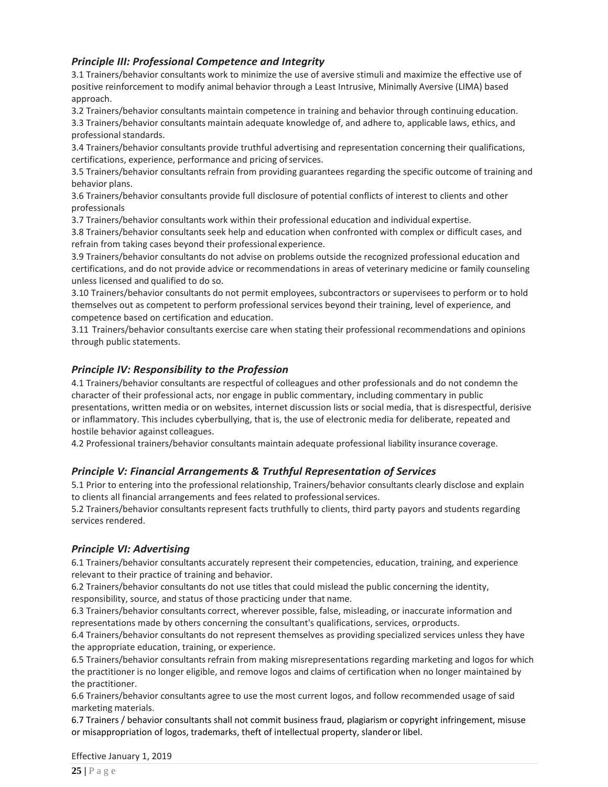#### *Principle III: Professional Competence and Integrity*

3.1 Trainers/behavior consultants work to minimize the use of aversive stimuli and maximize the effective use of positive reinforcement to modify animal behavior through a Least Intrusive, Minimally Aversive (LIMA) based approach.

3.2 Trainers/behavior consultants maintain competence in training and behavior through continuing education. 3.3 Trainers/behavior consultants maintain adequate knowledge of, and adhere to, applicable laws, ethics, and professional standards.

3.4 Trainers/behavior consultants provide truthful advertising and representation concerning their qualifications, certifications, experience, performance and pricing of services.

3.5 Trainers/behavior consultants refrain from providing guarantees regarding the specific outcome of training and behavior plans.

3.6 Trainers/behavior consultants provide full disclosure of potential conflicts of interest to clients and other professionals

3.7 Trainers/behavior consultants work within their professional education and individual expertise.

3.8 Trainers/behavior consultants seek help and education when confronted with complex or difficult cases, and refrain from taking cases beyond their professional experience.

3.9 Trainers/behavior consultants do not advise on problems outside the recognized professional education and certifications, and do not provide advice or recommendations in areas of veterinary medicine or family counseling unless licensed and qualified to do so.

3.10 Trainers/behavior consultants do not permit employees, subcontractors or supervisees to perform or to hold themselves out as competent to perform professional services beyond their training, level of experience, and competence based on certification and education.

3.11 Trainers/behavior consultants exercise care when stating their professional recommendations and opinions through public statements.

#### *Principle IV: Responsibility to the Profession*

4.1 Trainers/behavior consultants are respectful of colleagues and other professionals and do not condemn the character of their professional acts, nor engage in public commentary, including commentary in public presentations, written media or on websites, internet discussion lists or social media, that is disrespectful, derisive or inflammatory. This includes cyberbullying, that is, the use of electronic media for deliberate, repeated and hostile behavior against colleagues.

4.2 Professional trainers/behavior consultants maintain adequate professional liability insurance coverage.

#### *Principle V: Financial Arrangements & Truthful Representation of Services*

5.1 Prior to entering into the professional relationship, Trainers/behavior consultants clearly disclose and explain to clients all financial arrangements and fees related to professional services.

5.2 Trainers/behavior consultants represent facts truthfully to clients, third party payors and students regarding services rendered.

#### *Principle VI: Advertising*

6.1 Trainers/behavior consultants accurately represent their competencies, education, training, and experience relevant to their practice of training and behavior.

6.2 Trainers/behavior consultants do not use titles that could mislead the public concerning the identity, responsibility, source, and status of those practicing under that name.

6.3 Trainers/behavior consultants correct, wherever possible, false, misleading, or inaccurate information and representations made by others concerning the consultant's qualifications, services, orproducts.

6.4 Trainers/behavior consultants do not represent themselves as providing specialized services unless they have the appropriate education, training, or experience.

6.5 Trainers/behavior consultants refrain from making misrepresentations regarding marketing and logos for which the practitioner is no longer eligible, and remove logos and claims of certification when no longer maintained by the practitioner.

6.6 Trainers/behavior consultants agree to use the most current logos, and follow recommended usage of said marketing materials.

6.7 Trainers / behavior consultants shall not commit business fraud, plagiarism or copyright infringement, misuse or misappropriation of logos, trademarks, theft of intellectual property, slanderor libel.

Effective January 1, 2019

**25 |** P a g e